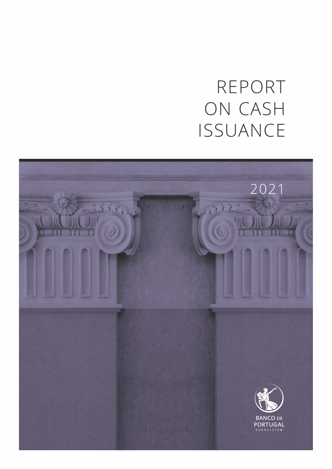# REPORT ON CASH ISSUANCE

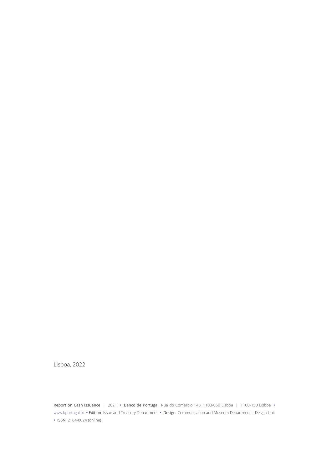Lisboa, 2022

Report on Cash Issuance | 2021 **•** Banco de Portugal Rua do Comércio 148, 1100-050 Lisboa | 1100-150 Lisboa **•** [www.bportugal.pt](http://www.bportugal.pt) **•** Edition Issue and Treasury Department **•** Design Communication and Museum Department | Design Unit **•** ISSN 2184-0024 (online)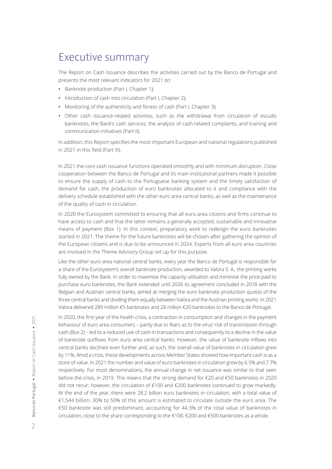### Executive summary

The Report on Cash Issuance describes the activities carried out by the Banco de Portugal and presents the most relevant indicators for 2021 on:

- **•** Banknote production (Part I, Chapter 1);
- **•** Introduction of cash into circulation (Part I, Chapter 2);
- **•** Monitoring of the authenticity and fitness of cash (Part I, Chapter 3);
- **•** Other cash issuance-related activities, such as the withdrawal from circulation of escudo banknotes, the Bank's cash services, the analysis of cash-related complaints, and training and communication initiatives (Part II).

In addition, this Report specifies the most important European and national regulations published in 2021 in this field (Part III).

In 2021 the core cash issuance functions operated smoothly and with minimum disruption. Close cooperation between the Banco de Portugal and its main institutional partners made it possible to ensure the supply of cash to the Portuguese banking system and the timely satisfaction of demand for cash, the production of euro banknotes allocated to it and compliance with the delivery schedule established with the other euro area central banks, as well as the maintenance of the quality of cash in circulation.

In 2020 the Eurosystem committed to ensuring that all euro area citizens and firms continue to have access to cash and that the latter remains a generally accepted, sustainable and innovative means of payment (Box 1). In this context, preparatory work to redesign the euro banknotes started in 2021. The theme for the future banknotes will be chosen after gathering the opinion of the European citizens and is due to be announced in 2024. Experts from all euro area countries are involved in the Theme Advisory Group set up for this purpose.

Like the other euro area national central banks, every year the Banco de Portugal is responsible for a share of the Eurosystem's overall banknote production, awarded to Valora S. A., the printing works fully owned by the Bank. In order to maximise the capacity utilisation and minimise the price paid to purchase euro banknotes, the Bank extended until 2026 its agreement concluded in 2018 with the Belgian and Austrian central banks, aimed at merging the euro banknote production quotas of the three central banks and dividing them equally between Valora and the Austrian printing works. In 2021 Valora delivered 289 million €5 banknotes and 28 million €20 banknotes to the Banco de Portugal.

In 2020, the first year of the health crisis, a contraction in consumption and changes in the payment behaviour of euro area consumers – partly due to fears as to the virus' risk of transmission through cash (Box 2) – led to a reduced use of cash in transactions and consequently to a decline in the value of banknote outflows from euro area central banks. However, the value of banknote inflows into central banks declined even further and, as such, the overall value of banknotes in circulation grew by 11%. Amid a crisis, these developments across Member States showed how important cash is as a store of value. In 2021 the number and value of euro banknotes in circulation grew by 6.5% and 7.7% respectively. For most denominations, the annual change in net issuance was similar to that seen before the crisis, in 2019. This means that the strong demand for €20 and €50 banknotes in 2020 did not recur; however, the circulation of €100 and €200 banknotes continued to grow markedly. At the end of the year, there were 28.2 billion euro banknotes in circulation, with a total value of €1,544 billion. 30% to 50% of this amount is estimated to circulate outside the euro area. The €50 banknote was still predominant, accounting for 44.3% of the total value of banknotes in circulation, close to the share corresponding to the €100, €200 and €500 banknotes as a whole.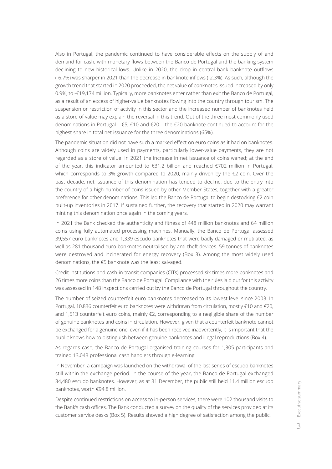Also in Portugal, the pandemic continued to have considerable effects on the supply of and demand for cash, with monetary flows between the Banco de Portugal and the banking system declining to new historical lows. Unlike in 2020, the drop in central bank banknote outflows (-6.7%) was sharper in 2021 than the decrease in banknote inflows (-2.3%). As such, although the growth trend that started in 2020 proceeded, the net value of banknotes issued increased by only 0.9%, to -€19,174 million. Typically, more banknotes enter rather than exit the Banco de Portugal, as a result of an excess of higher-value banknotes flowing into the country through tourism. The suspension or restriction of activity in this sector and the increased number of banknotes held as a store of value may explain the reversal in this trend. Out of the three most commonly used denominations in Portugal – €5, €10 and €20 – the €20 banknote continued to account for the highest share in total net issuance for the three denominations (65%).

The pandemic situation did not have such a marked effect on euro coins as it had on banknotes. Although coins are widely used in payments, particularly lower-value payments, they are not regarded as a store of value. In 2021 the increase in net issuance of coins waned; at the end of the year, this indicator amounted to €31.2 billion and reached €702 million in Portugal, which corresponds to 3% growth compared to 2020, mainly driven by the  $\epsilon$ 2 coin. Over the past decade, net issuance of this denomination has tended to decline, due to the entry into the country of a high number of coins issued by other Member States, together with a greater preference for other denominations. This led the Banco de Portugal to begin destocking €2 coin built-up inventories in 2017. If sustained further, the recovery that started in 2020 may warrant minting this denomination once again in the coming years.

In 2021 the Bank checked the authenticity and fitness of 448 million banknotes and 64 million coins using fully automated processing machines. Manually, the Banco de Portugal assessed 39,557 euro banknotes and 1,339 escudo banknotes that were badly damaged or mutilated, as well as 281 thousand euro banknotes neutralised by anti-theft devices. 59 tonnes of banknotes were destroyed and incinerated for energy recovery (Box 3). Among the most widely used denominations, the €5 banknote was the least salvaged.

Credit institutions and cash-in-transit companies (CITs) processed six times more banknotes and 26 times more coins than the Banco de Portugal. Compliance with the rules laid out for this activity was assessed in 148 inspections carried out by the Banco de Portugal throughout the country.

The number of seized counterfeit euro banknotes decreased to its lowest level since 2003. In Portugal, 10,836 counterfeit euro banknotes were withdrawn from circulation, mostly €10 and €20, and 1,513 counterfeit euro coins, mainly €2, corresponding to a negligible share of the number of genuine banknotes and coins in circulation. However, given that a counterfeit banknote cannot be exchanged for a genuine one, even if it has been received inadvertently, it is important that the public knows how to distinguish between genuine banknotes and illegal reproductions (Box 4).

As regards cash, the Banco de Portugal organised training courses for 1,305 participants and trained 13,043 professional cash handlers through e-learning.

In November, a campaign was launched on the withdrawal of the last series of escudo banknotes still within the exchange period. In the course of the year, the Banco de Portugal exchanged 34,480 escudo banknotes. However, as at 31 December, the public still held 11.4 million escudo banknotes, worth €94.8 million.

Despite continued restrictions on access to in-person services, there were 102 thousand visits to the Bank's cash offices. The Bank conducted a survey on the quality of the services provided at its customer service desks (Box 5). Results showed a high degree of satisfaction among the public.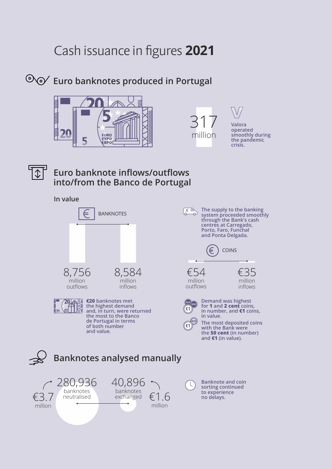### Cash issuance in figures **2021**

#### **Euro banknotes produced in Portugal**







**operated smoothly during the pandemic crisis.**



#### **Euro banknote inflows/outflows into/from the Banco de Portugal**

#### **In value**



**€20 banknotes met the highest demand and, in turn, were returned the most to the Banco de Portugal in terms of both number and value.** 

**centres at Carregado, Porto, Faro, Funchal and Ponta Delgada.** COINS  $\epsilon$ €54 €35

million outflows

**€0,01 €0,02 €1**

 $E$ 

**€0,50 €1**



**Demand was highest for 1 and 2 cent coins, in number, and €1 coins, in value.** 

**The supply to the banking system proceeded smoothly through the Bank's cash** 

> million inflows

**The most deposited coins with the Bank were the 50 cent (in number) and €1 (in value).**



**Banknote and coin sorting continued to experience**